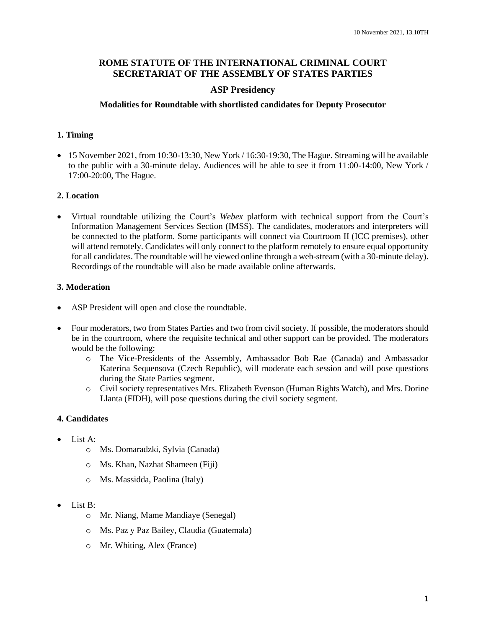### **ROME STATUTE OF THE INTERNATIONAL CRIMINAL COURT SECRETARIAT OF THE ASSEMBLY OF STATES PARTIES**

### **ASP Presidency**

#### **Modalities for Roundtable with shortlisted candidates for Deputy Prosecutor**

### **1. Timing**

 $\bullet$  15 November 2021, from 10:30-13:30, New York / 16:30-19:30, The Hague. Streaming will be available to the public with a 30-minute delay. Audiences will be able to see it from 11:00-14:00, New York / 17:00-20:00, The Hague.

### **2. Location**

 Virtual roundtable utilizing the Court's *Webex* platform with technical support from the Court's Information Management Services Section (IMSS). The candidates, moderators and interpreters will be connected to the platform. Some participants will connect via Courtroom II (ICC premises), other will attend remotely. Candidates will only connect to the platform remotely to ensure equal opportunity for all candidates. The roundtable will be viewed online through a web-stream (with a 30-minute delay). Recordings of the roundtable will also be made available online afterwards.

### **3. Moderation**

- ASP President will open and close the roundtable.
- Four moderators, two from States Parties and two from civil society. If possible, the moderators should be in the courtroom, where the requisite technical and other support can be provided. The moderators would be the following:
	- o The Vice-Presidents of the Assembly, Ambassador Bob Rae (Canada) and Ambassador Katerina Sequensova (Czech Republic), will moderate each session and will pose questions during the State Parties segment.
	- o Civil society representatives Mrs. Elizabeth Evenson (Human Rights Watch), and Mrs. Dorine Llanta (FIDH), will pose questions during the civil society segment.

# **4. Candidates**

- List  $A^T$ 
	- o Ms. Domaradzki, Sylvia (Canada)
	- o Ms. Khan, Nazhat Shameen (Fiji)
	- o Ms. Massidda, Paolina (Italy)
- List B:
	- o Mr. Niang, Mame Mandiaye (Senegal)
	- o Ms. Paz y Paz Bailey, Claudia (Guatemala)
	- o Mr. Whiting, Alex (France)